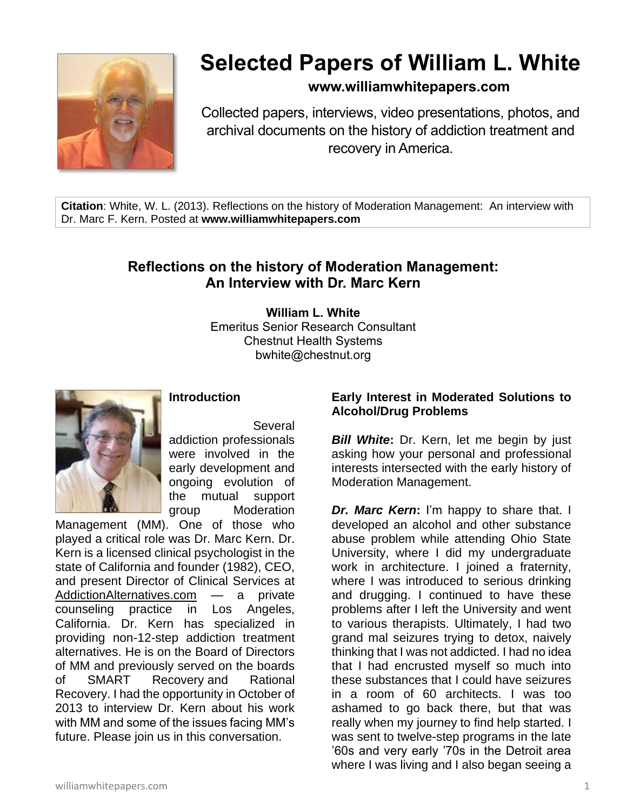

# **Selected Papers of William L. White**

# **www.williamwhitepapers.com**

Collected papers, interviews, video presentations, photos, and archival documents on the history of addiction treatment and recovery in America.

**Citation**: White, W. L. (2013). Reflections on the history of Moderation Management: An interview with Dr. Marc F. Kern. Posted at **www.williamwhitepapers.com**

# **Reflections on the history of Moderation Management: An Interview with Dr. Marc Kern**

**William L. White** Emeritus Senior Research Consultant Chestnut Health Systems bwhite@chestnut.org



Several addiction professionals were involved in the early development and ongoing evolution of the mutual support group Moderation

**Introduction**

Management (MM). One of those who played a critical role was Dr. Marc Kern. Dr. Kern is a licensed clinical psychologist in the state of California and founder (1982), CEO, and present Director of Clinical Services at [AddictionAlternatives.com](http://www.addictionalternatives.com/) — a private counseling practice in Los Angeles, California. Dr. Kern has specialized in providing non-12-step addiction treatment alternatives. He is on the Board of Directors of MM and previously served on the boards of SMART Recovery and Rational Recovery. I had the opportunity in October of 2013 to interview Dr. Kern about his work with MM and some of the issues facing MM's future. Please join us in this conversation.

# **Early Interest in Moderated Solutions to Alcohol/Drug Problems**

*Bill White***:** Dr. Kern, let me begin by just asking how your personal and professional interests intersected with the early history of Moderation Management.

*Dr. Marc Kern***:** I'm happy to share that. I developed an alcohol and other substance abuse problem while attending Ohio State University, where I did my undergraduate work in architecture. I joined a fraternity, where I was introduced to serious drinking and drugging. I continued to have these problems after I left the University and went to various therapists. Ultimately, I had two grand mal seizures trying to detox, naively thinking that I was not addicted. I had no idea that I had encrusted myself so much into these substances that I could have seizures in a room of 60 architects. I was too ashamed to go back there, but that was really when my journey to find help started. I was sent to twelve-step programs in the late '60s and very early '70s in the Detroit area where I was living and I also began seeing a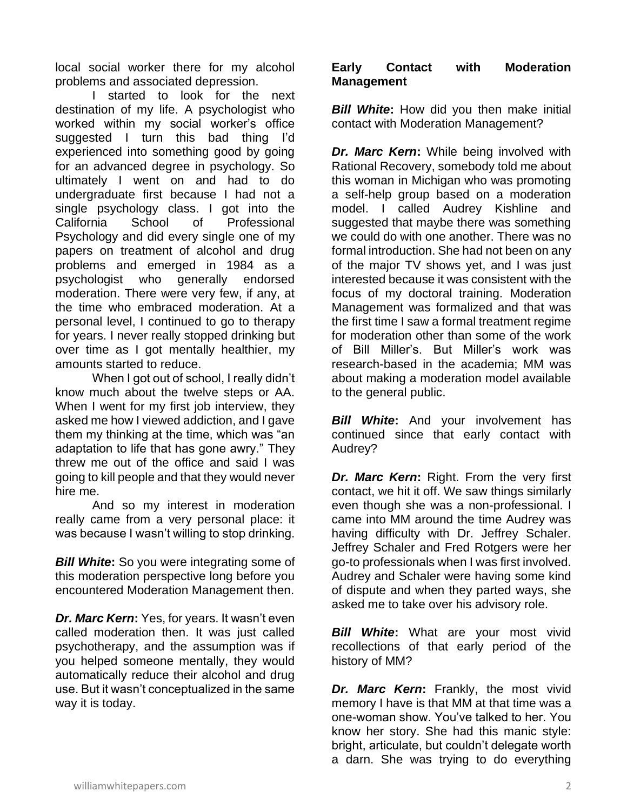local social worker there for my alcohol problems and associated depression.

I started to look for the next destination of my life. A psychologist who worked within my social worker's office suggested I turn this bad thing I'd experienced into something good by going for an advanced degree in psychology. So ultimately I went on and had to do undergraduate first because I had not a single psychology class. I got into the California School of Professional Psychology and did every single one of my papers on treatment of alcohol and drug problems and emerged in 1984 as a psychologist who generally endorsed moderation. There were very few, if any, at the time who embraced moderation. At a personal level, I continued to go to therapy for years. I never really stopped drinking but over time as I got mentally healthier, my amounts started to reduce.

When I got out of school, I really didn't know much about the twelve steps or AA. When I went for my first job interview, they asked me how I viewed addiction, and I gave them my thinking at the time, which was "an adaptation to life that has gone awry." They threw me out of the office and said I was going to kill people and that they would never hire me.

And so my interest in moderation really came from a very personal place: it was because I wasn't willing to stop drinking.

*Bill White***:** So you were integrating some of this moderation perspective long before you encountered Moderation Management then.

*Dr. Marc Kern***:** Yes, for years. It wasn't even called moderation then. It was just called psychotherapy, and the assumption was if you helped someone mentally, they would automatically reduce their alcohol and drug use. But it wasn't conceptualized in the same way it is today.

## **Early Contact with Moderation Management**

*Bill White*: How did you then make initial contact with Moderation Management?

*Dr. Marc Kern:* While being involved with Rational Recovery, somebody told me about this woman in Michigan who was promoting a self-help group based on a moderation model. I called Audrey Kishline and suggested that maybe there was something we could do with one another. There was no formal introduction. She had not been on any of the major TV shows yet, and I was just interested because it was consistent with the focus of my doctoral training. Moderation Management was formalized and that was the first time I saw a formal treatment regime for moderation other than some of the work of Bill Miller's. But Miller's work was research-based in the academia; MM was about making a moderation model available to the general public.

*Bill White***:** And your involvement has continued since that early contact with Audrey?

*Dr. Marc Kern: Right. From the very first* contact, we hit it off. We saw things similarly even though she was a non-professional. I came into MM around the time Audrey was having difficulty with Dr. Jeffrey Schaler. Jeffrey Schaler and Fred Rotgers were her go-to professionals when I was first involved. Audrey and Schaler were having some kind of dispute and when they parted ways, she asked me to take over his advisory role.

*Bill White***:** What are your most vivid recollections of that early period of the history of MM?

*Dr. Marc Kern***:** Frankly, the most vivid memory I have is that MM at that time was a one-woman show. You've talked to her. You know her story. She had this manic style: bright, articulate, but couldn't delegate worth a darn. She was trying to do everything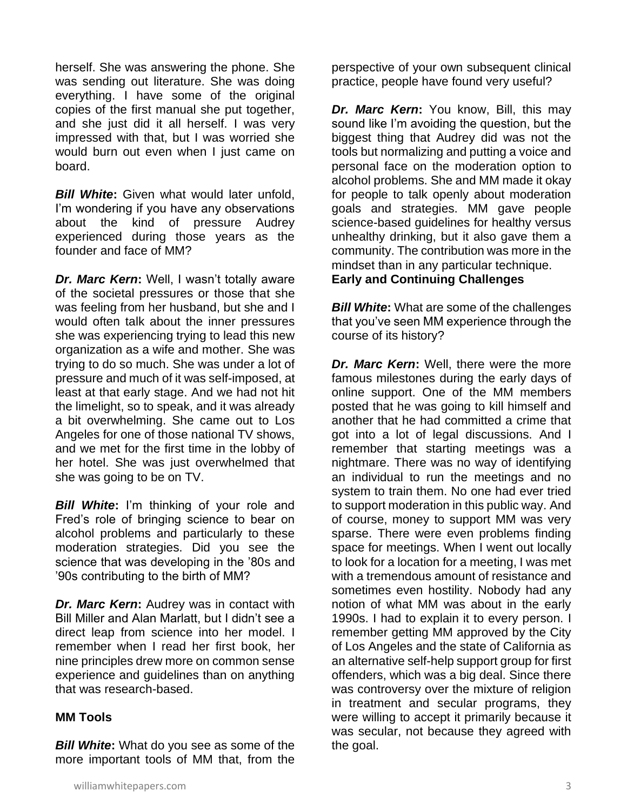herself. She was answering the phone. She was sending out literature. She was doing everything. I have some of the original copies of the first manual she put together, and she just did it all herself. I was very impressed with that, but I was worried she would burn out even when I just came on board.

*Bill White***:** Given what would later unfold, I'm wondering if you have any observations about the kind of pressure Audrey experienced during those years as the founder and face of MM?

*Dr. Marc Kern***:** Well, I wasn't totally aware of the societal pressures or those that she was feeling from her husband, but she and I would often talk about the inner pressures she was experiencing trying to lead this new organization as a wife and mother. She was trying to do so much. She was under a lot of pressure and much of it was self-imposed, at least at that early stage. And we had not hit the limelight, so to speak, and it was already a bit overwhelming. She came out to Los Angeles for one of those national TV shows, and we met for the first time in the lobby of her hotel. She was just overwhelmed that she was going to be on TV.

*Bill White***:** I'm thinking of your role and Fred's role of bringing science to bear on alcohol problems and particularly to these moderation strategies. Did you see the science that was developing in the '80s and '90s contributing to the birth of MM?

*Dr. Marc Kern***:** Audrey was in contact with Bill Miller and Alan Marlatt, but I didn't see a direct leap from science into her model. I remember when I read her first book, her nine principles drew more on common sense experience and guidelines than on anything that was research-based.

#### **MM Tools**

*Bill White***:** What do you see as some of the more important tools of MM that, from the perspective of your own subsequent clinical practice, people have found very useful?

*Dr. Marc Kern***:** You know, Bill, this may sound like I'm avoiding the question, but the biggest thing that Audrey did was not the tools but normalizing and putting a voice and personal face on the moderation option to alcohol problems. She and MM made it okay for people to talk openly about moderation goals and strategies. MM gave people science-based guidelines for healthy versus unhealthy drinking, but it also gave them a community. The contribution was more in the mindset than in any particular technique. **Early and Continuing Challenges** 

*Bill White***:** What are some of the challenges that you've seen MM experience through the course of its history?

*Dr. Marc Kern:* Well, there were the more famous milestones during the early days of online support. One of the MM members posted that he was going to kill himself and another that he had committed a crime that got into a lot of legal discussions. And I remember that starting meetings was a nightmare. There was no way of identifying an individual to run the meetings and no system to train them. No one had ever tried to support moderation in this public way. And of course, money to support MM was very sparse. There were even problems finding space for meetings. When I went out locally to look for a location for a meeting, I was met with a tremendous amount of resistance and sometimes even hostility. Nobody had any notion of what MM was about in the early 1990s. I had to explain it to every person. I remember getting MM approved by the City of Los Angeles and the state of California as an alternative self-help support group for first offenders, which was a big deal. Since there was controversy over the mixture of religion in treatment and secular programs, they were willing to accept it primarily because it was secular, not because they agreed with the goal.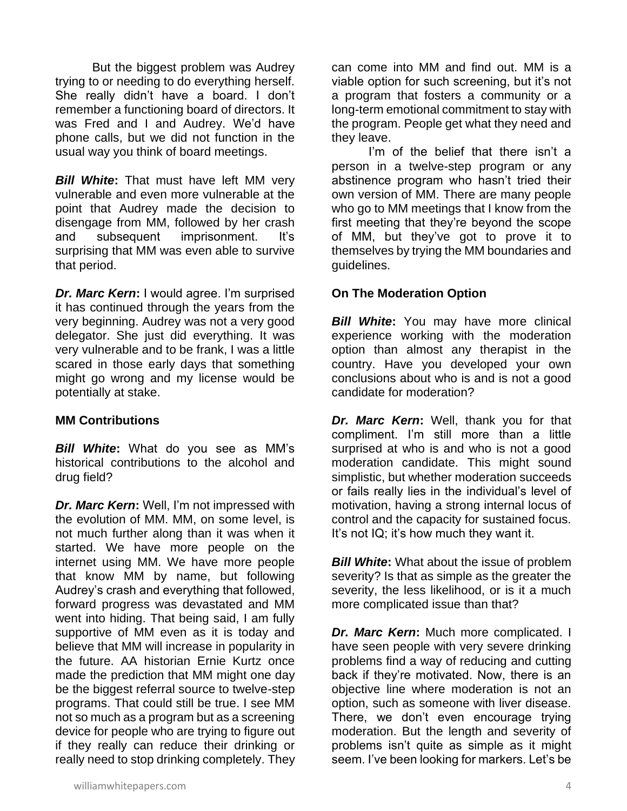But the biggest problem was Audrey trying to or needing to do everything herself. She really didn't have a board. I don't remember a functioning board of directors. It was Fred and I and Audrey. We'd have phone calls, but we did not function in the usual way you think of board meetings.

*Bill White***:** That must have left MM very vulnerable and even more vulnerable at the point that Audrey made the decision to disengage from MM, followed by her crash and subsequent imprisonment. It's surprising that MM was even able to survive that period.

*Dr. Marc Kern***:** I would agree. I'm surprised it has continued through the years from the very beginning. Audrey was not a very good delegator. She just did everything. It was very vulnerable and to be frank, I was a little scared in those early days that something might go wrong and my license would be potentially at stake.

## **MM Contributions**

*Bill White***:** What do you see as MM's historical contributions to the alcohol and drug field?

*Dr. Marc Kern***:** Well, I'm not impressed with the evolution of MM. MM, on some level, is not much further along than it was when it started. We have more people on the internet using MM. We have more people that know MM by name, but following Audrey's crash and everything that followed, forward progress was devastated and MM went into hiding. That being said, I am fully supportive of MM even as it is today and believe that MM will increase in popularity in the future. AA historian Ernie Kurtz once made the prediction that MM might one day be the biggest referral source to twelve-step programs. That could still be true. I see MM not so much as a program but as a screening device for people who are trying to figure out if they really can reduce their drinking or really need to stop drinking completely. They can come into MM and find out. MM is a viable option for such screening, but it's not a program that fosters a community or a long-term emotional commitment to stay with the program. People get what they need and they leave.

I'm of the belief that there isn't a person in a twelve-step program or any abstinence program who hasn't tried their own version of MM. There are many people who go to MM meetings that I know from the first meeting that they're beyond the scope of MM, but they've got to prove it to themselves by trying the MM boundaries and guidelines.

# **On The Moderation Option**

*Bill White***:** You may have more clinical experience working with the moderation option than almost any therapist in the country. Have you developed your own conclusions about who is and is not a good candidate for moderation?

*Dr. Marc Kern***:** Well, thank you for that compliment. I'm still more than a little surprised at who is and who is not a good moderation candidate. This might sound simplistic, but whether moderation succeeds or fails really lies in the individual's level of motivation, having a strong internal locus of control and the capacity for sustained focus. It's not IQ; it's how much they want it.

*Bill White***:** What about the issue of problem severity? Is that as simple as the greater the severity, the less likelihood, or is it a much more complicated issue than that?

*Dr. Marc Kern***:** Much more complicated. I have seen people with very severe drinking problems find a way of reducing and cutting back if they're motivated. Now, there is an objective line where moderation is not an option, such as someone with liver disease. There, we don't even encourage trying moderation. But the length and severity of problems isn't quite as simple as it might seem. I've been looking for markers. Let's be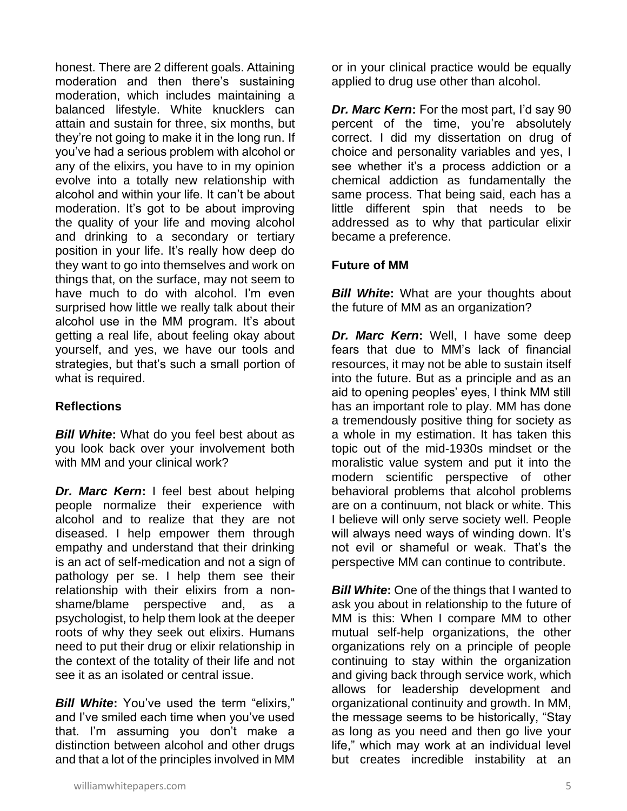honest. There are 2 different goals. Attaining moderation and then there's sustaining moderation, which includes maintaining a balanced lifestyle. White knucklers can attain and sustain for three, six months, but they're not going to make it in the long run. If you've had a serious problem with alcohol or any of the elixirs, you have to in my opinion evolve into a totally new relationship with alcohol and within your life. It can't be about moderation. It's got to be about improving the quality of your life and moving alcohol and drinking to a secondary or tertiary position in your life. It's really how deep do they want to go into themselves and work on things that, on the surface, may not seem to have much to do with alcohol. I'm even surprised how little we really talk about their alcohol use in the MM program. It's about getting a real life, about feeling okay about yourself, and yes, we have our tools and strategies, but that's such a small portion of what is required.

# **Reflections**

*Bill White***:** What do you feel best about as you look back over your involvement both with MM and your clinical work?

**Dr. Marc Kern:** I feel best about helping people normalize their experience with alcohol and to realize that they are not diseased. I help empower them through empathy and understand that their drinking is an act of self-medication and not a sign of pathology per se. I help them see their relationship with their elixirs from a nonshame/blame perspective and, as a psychologist, to help them look at the deeper roots of why they seek out elixirs. Humans need to put their drug or elixir relationship in the context of the totality of their life and not see it as an isolated or central issue.

*Bill White***:** You've used the term "elixirs," and I've smiled each time when you've used that. I'm assuming you don't make a distinction between alcohol and other drugs and that a lot of the principles involved in MM

or in your clinical practice would be equally applied to drug use other than alcohol.

*Dr. Marc Kern***:** For the most part, I'd say 90 percent of the time, you're absolutely correct. I did my dissertation on drug of choice and personality variables and yes, I see whether it's a process addiction or a chemical addiction as fundamentally the same process. That being said, each has a little different spin that needs to be addressed as to why that particular elixir became a preference.

# **Future of MM**

*Bill White:* What are your thoughts about the future of MM as an organization?

*Dr. Marc Kern***:** Well, I have some deep fears that due to MM's lack of financial resources, it may not be able to sustain itself into the future. But as a principle and as an aid to opening peoples' eyes, I think MM still has an important role to play. MM has done a tremendously positive thing for society as a whole in my estimation. It has taken this topic out of the mid-1930s mindset or the moralistic value system and put it into the modern scientific perspective of other behavioral problems that alcohol problems are on a continuum, not black or white. This I believe will only serve society well. People will always need ways of winding down. It's not evil or shameful or weak. That's the perspective MM can continue to contribute.

**Bill White:** One of the things that I wanted to ask you about in relationship to the future of MM is this: When I compare MM to other mutual self-help organizations, the other organizations rely on a principle of people continuing to stay within the organization and giving back through service work, which allows for leadership development and organizational continuity and growth. In MM, the message seems to be historically, "Stay as long as you need and then go live your life," which may work at an individual level but creates incredible instability at an